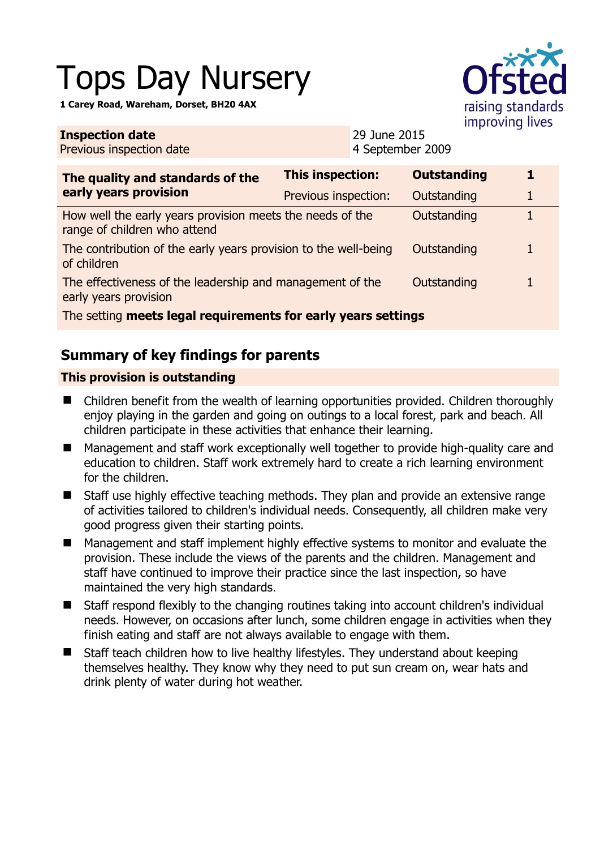# Tops Day Nursery

**1 Carey Road, Wareham, Dorset, BH20 4AX** 

**Inspection date**



| <b>THERECULL AGLE</b><br>Previous inspection date                                         |                         | LIND JUING CO<br>4 September 2009 |   |  |
|-------------------------------------------------------------------------------------------|-------------------------|-----------------------------------|---|--|
| The quality and standards of the<br>early years provision                                 | <b>This inspection:</b> | <b>Outstanding</b>                | 1 |  |
|                                                                                           | Previous inspection:    | Outstanding                       |   |  |
| How well the early years provision meets the needs of the<br>range of children who attend |                         | Outstanding                       |   |  |
| The contribution of the early years provision to the well-being<br>of children            |                         | Outstanding                       | 1 |  |
| The effectiveness of the leadership and management of the<br>early years provision        |                         | Outstanding                       |   |  |
| The setting meets legal requirements for early years settings                             |                         |                                   |   |  |

29 June 2015

# **Summary of key findings for parents**

## **This provision is outstanding**

- Children benefit from the wealth of learning opportunities provided. Children thoroughly enjoy playing in the garden and going on outings to a local forest, park and beach. All children participate in these activities that enhance their learning.
- Management and staff work exceptionally well together to provide high-quality care and education to children. Staff work extremely hard to create a rich learning environment for the children.
- Staff use highly effective teaching methods. They plan and provide an extensive range of activities tailored to children's individual needs. Consequently, all children make very good progress given their starting points.
- Management and staff implement highly effective systems to monitor and evaluate the provision. These include the views of the parents and the children. Management and staff have continued to improve their practice since the last inspection, so have maintained the very high standards.
- Staff respond flexibly to the changing routines taking into account children's individual needs. However, on occasions after lunch, some children engage in activities when they finish eating and staff are not always available to engage with them.
- Staff teach children how to live healthy lifestyles. They understand about keeping themselves healthy. They know why they need to put sun cream on, wear hats and drink plenty of water during hot weather.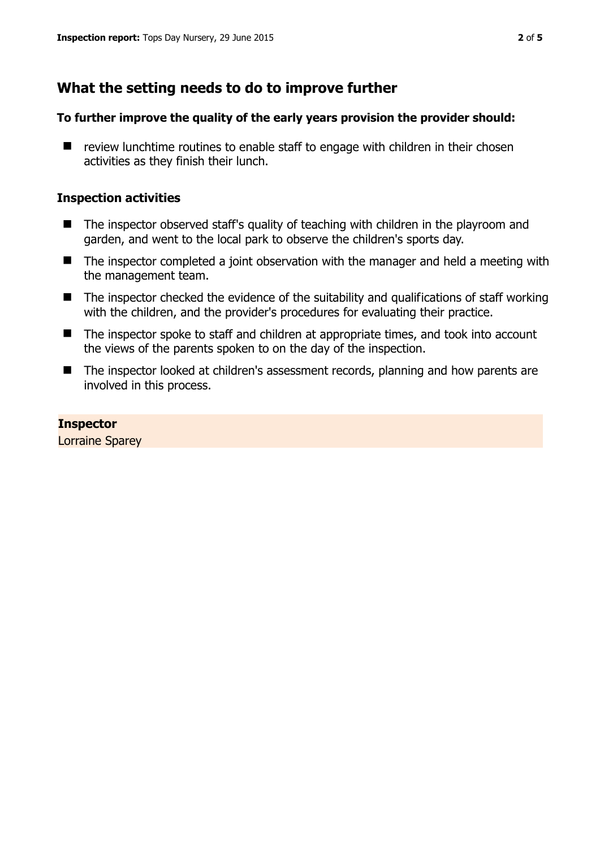# **What the setting needs to do to improve further**

## **To further improve the quality of the early years provision the provider should:**

 $\blacksquare$  review lunchtime routines to enable staff to engage with children in their chosen activities as they finish their lunch.

## **Inspection activities**

- The inspector observed staff's quality of teaching with children in the playroom and garden, and went to the local park to observe the children's sports day.
- The inspector completed a joint observation with the manager and held a meeting with the management team.
- $\blacksquare$  The inspector checked the evidence of the suitability and qualifications of staff working with the children, and the provider's procedures for evaluating their practice.
- The inspector spoke to staff and children at appropriate times, and took into account the views of the parents spoken to on the day of the inspection.
- The inspector looked at children's assessment records, planning and how parents are involved in this process.

**Inspector**  Lorraine Sparey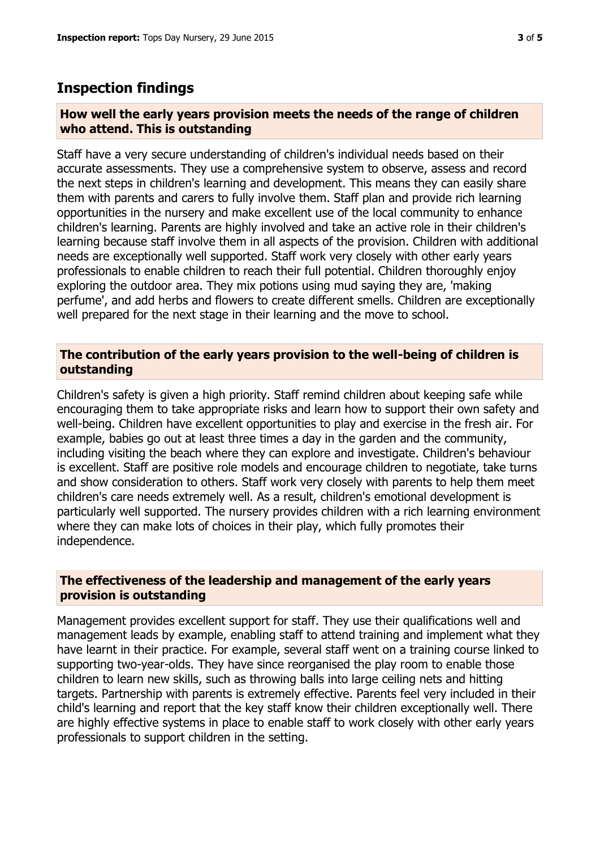# **Inspection findings**

#### **How well the early years provision meets the needs of the range of children who attend. This is outstanding**

Staff have a very secure understanding of children's individual needs based on their accurate assessments. They use a comprehensive system to observe, assess and record the next steps in children's learning and development. This means they can easily share them with parents and carers to fully involve them. Staff plan and provide rich learning opportunities in the nursery and make excellent use of the local community to enhance children's learning. Parents are highly involved and take an active role in their children's learning because staff involve them in all aspects of the provision. Children with additional needs are exceptionally well supported. Staff work very closely with other early years professionals to enable children to reach their full potential. Children thoroughly enjoy exploring the outdoor area. They mix potions using mud saying they are, 'making perfume', and add herbs and flowers to create different smells. Children are exceptionally well prepared for the next stage in their learning and the move to school.

## **The contribution of the early years provision to the well-being of children is outstanding**

Children's safety is given a high priority. Staff remind children about keeping safe while encouraging them to take appropriate risks and learn how to support their own safety and well-being. Children have excellent opportunities to play and exercise in the fresh air. For example, babies go out at least three times a day in the garden and the community, including visiting the beach where they can explore and investigate. Children's behaviour is excellent. Staff are positive role models and encourage children to negotiate, take turns and show consideration to others. Staff work very closely with parents to help them meet children's care needs extremely well. As a result, children's emotional development is particularly well supported. The nursery provides children with a rich learning environment where they can make lots of choices in their play, which fully promotes their independence.

## **The effectiveness of the leadership and management of the early years provision is outstanding**

Management provides excellent support for staff. They use their qualifications well and management leads by example, enabling staff to attend training and implement what they have learnt in their practice. For example, several staff went on a training course linked to supporting two-year-olds. They have since reorganised the play room to enable those children to learn new skills, such as throwing balls into large ceiling nets and hitting targets. Partnership with parents is extremely effective. Parents feel very included in their child's learning and report that the key staff know their children exceptionally well. There are highly effective systems in place to enable staff to work closely with other early years professionals to support children in the setting.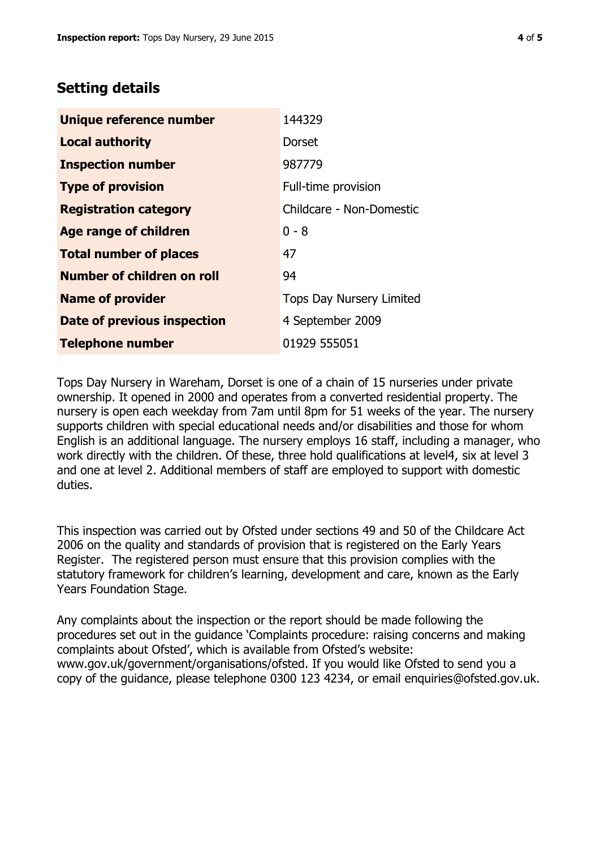# **Setting details**

| Unique reference number       | 144329                          |
|-------------------------------|---------------------------------|
| <b>Local authority</b>        | <b>Dorset</b>                   |
| <b>Inspection number</b>      | 987779                          |
| <b>Type of provision</b>      | Full-time provision             |
| <b>Registration category</b>  | Childcare - Non-Domestic        |
| Age range of children         | $0 - 8$                         |
| <b>Total number of places</b> | 47                              |
| Number of children on roll    | 94                              |
| <b>Name of provider</b>       | <b>Tops Day Nursery Limited</b> |
| Date of previous inspection   | 4 September 2009                |
| <b>Telephone number</b>       | 01929 555051                    |

Tops Day Nursery in Wareham, Dorset is one of a chain of 15 nurseries under private ownership. It opened in 2000 and operates from a converted residential property. The nursery is open each weekday from 7am until 8pm for 51 weeks of the year. The nursery supports children with special educational needs and/or disabilities and those for whom English is an additional language. The nursery employs 16 staff, including a manager, who work directly with the children. Of these, three hold qualifications at level4, six at level 3 and one at level 2. Additional members of staff are employed to support with domestic duties.

This inspection was carried out by Ofsted under sections 49 and 50 of the Childcare Act 2006 on the quality and standards of provision that is registered on the Early Years Register. The registered person must ensure that this provision complies with the statutory framework for children's learning, development and care, known as the Early Years Foundation Stage.

Any complaints about the inspection or the report should be made following the procedures set out in the guidance 'Complaints procedure: raising concerns and making complaints about Ofsted', which is available from Ofsted's website: www.gov.uk/government/organisations/ofsted. If you would like Ofsted to send you a copy of the guidance, please telephone 0300 123 4234, or email enquiries@ofsted.gov.uk.